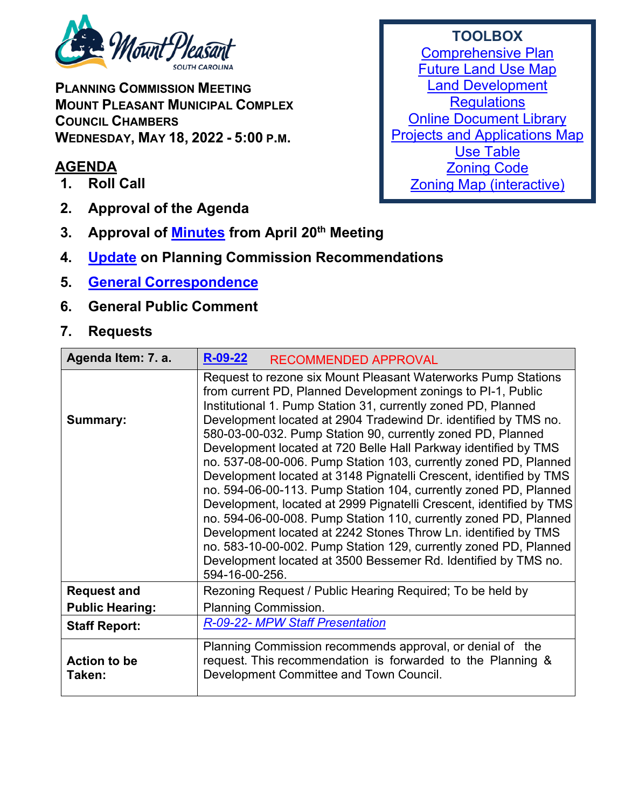

**PLANNING COMMISSION MEETING MOUNT PLEASANT MUNICIPAL COMPLEX COUNCIL CHAMBERS WEDNESDAY, MAY 18, 2022 - 5:00 P.M.** 

## **AGENDA**

- **1. Roll Call**
- **2. Approval of the Agenda**
- **3. Approval of [Minutes](https://www.tompsc.com/DocumentCenter/View/41712/Plan-Comsn-min-20-Apr-2022_exppdf) from April 20th Meeting**
- **4. [Update](https://www.tompsc.com/DocumentCenter/View/41717/TOWN-COUNCIL-DECISIONS) on Planning Commission Recommendations**
- **5. General [Correspondence](https://www.tompsc.com/DocumentCenter/View/41718/Correspondence-DOC)**
- **6. General Public Comment**

## **7. Requests**

| Agenda Item: 7. a.            | $R-09-22$<br><b>RECOMMENDED APPROVAL</b>                                                                                                                                                                                                                                                                                                                                                                                                                                                                                                                                                                                                                                                                                                                                                                                                                                                                                                                                               |
|-------------------------------|----------------------------------------------------------------------------------------------------------------------------------------------------------------------------------------------------------------------------------------------------------------------------------------------------------------------------------------------------------------------------------------------------------------------------------------------------------------------------------------------------------------------------------------------------------------------------------------------------------------------------------------------------------------------------------------------------------------------------------------------------------------------------------------------------------------------------------------------------------------------------------------------------------------------------------------------------------------------------------------|
| <b>Summary:</b>               | Request to rezone six Mount Pleasant Waterworks Pump Stations<br>from current PD, Planned Development zonings to PI-1, Public<br>Institutional 1. Pump Station 31, currently zoned PD, Planned<br>Development located at 2904 Tradewind Dr. identified by TMS no.<br>580-03-00-032. Pump Station 90, currently zoned PD, Planned<br>Development located at 720 Belle Hall Parkway identified by TMS<br>no. 537-08-00-006. Pump Station 103, currently zoned PD, Planned<br>Development located at 3148 Pignatelli Crescent, identified by TMS<br>no. 594-06-00-113. Pump Station 104, currently zoned PD, Planned<br>Development, located at 2999 Pignatelli Crescent, identified by TMS<br>no. 594-06-00-008. Pump Station 110, currently zoned PD, Planned<br>Development located at 2242 Stones Throw Ln. identified by TMS<br>no. 583-10-00-002. Pump Station 129, currently zoned PD, Planned<br>Development located at 3500 Bessemer Rd. Identified by TMS no.<br>594-16-00-256. |
| <b>Request and</b>            | Rezoning Request / Public Hearing Required; To be held by                                                                                                                                                                                                                                                                                                                                                                                                                                                                                                                                                                                                                                                                                                                                                                                                                                                                                                                              |
| <b>Public Hearing:</b>        | <b>Planning Commission.</b>                                                                                                                                                                                                                                                                                                                                                                                                                                                                                                                                                                                                                                                                                                                                                                                                                                                                                                                                                            |
| <b>Staff Report:</b>          | R-09-22- MPW Staff Presentation                                                                                                                                                                                                                                                                                                                                                                                                                                                                                                                                                                                                                                                                                                                                                                                                                                                                                                                                                        |
| <b>Action to be</b><br>Taken: | Planning Commission recommends approval, or denial of the<br>request. This recommendation is forwarded to the Planning &<br>Development Committee and Town Council.                                                                                                                                                                                                                                                                                                                                                                                                                                                                                                                                                                                                                                                                                                                                                                                                                    |

## **TOOLBOX** [Comprehensive Plan](https://www.tompsc.com/565/Comprehensive-Plan) [Future Land Use Map](https://www.tompsc.com/DocumentCenter/View/35351/Future-Land-Use) [Land Development](https://codelibrary.amlegal.com/codes/mtpleasantsc/latest/mpleasant_sc/0-0-0-119055)  **[Regulations](https://codelibrary.amlegal.com/codes/mtpleasantsc/latest/mpleasant_sc/0-0-0-119055)** [Online Document Library](http://www.tompsc.com/index.aspx?NID=388) [Projects and Applications Map](http://www.tompsc.com/index.aspx?nid=472) [Use Table](https://export.amlegal.com/media/cdf2043fcc7714d3258baf1857df78de1aeb6667/DATAOBJECTS/0-0-0-10726.pdf) [Zoning Code](https://codelibrary.amlegal.com/codes/mtpleasantsc/latest/mpleasant_sc/0-0-0-120001) [Zoning Map \(interactive\)](https://tomp.maps.arcgis.com/apps/webappviewer/index.html?id=786bb2a435e54f479b12fb2db31b473d)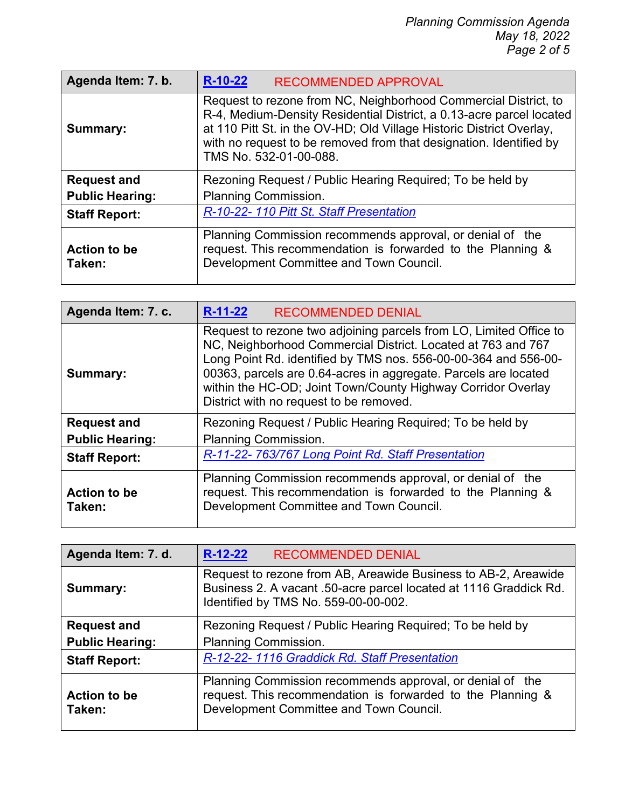| Agenda Item: 7. b.            | $R-10-22$<br><b>RECOMMENDED APPROVAL</b>                                                                                                                                                                                                                                                                        |
|-------------------------------|-----------------------------------------------------------------------------------------------------------------------------------------------------------------------------------------------------------------------------------------------------------------------------------------------------------------|
| Summary:                      | Request to rezone from NC, Neighborhood Commercial District, to<br>R-4, Medium-Density Residential District, a 0.13-acre parcel located<br>at 110 Pitt St. in the OV-HD; Old Village Historic District Overlay,<br>with no request to be removed from that designation. Identified by<br>TMS No. 532-01-00-088. |
| <b>Request and</b>            | Rezoning Request / Public Hearing Required; To be held by                                                                                                                                                                                                                                                       |
| <b>Public Hearing:</b>        | Planning Commission.                                                                                                                                                                                                                                                                                            |
| <b>Staff Report:</b>          | R-10-22-110 Pitt St. Staff Presentation                                                                                                                                                                                                                                                                         |
| <b>Action to be</b><br>Taken: | Planning Commission recommends approval, or denial of the<br>request. This recommendation is forwarded to the Planning &<br>Development Committee and Town Council.                                                                                                                                             |

| Agenda Item: 7. c.            | $R-11-22$<br><b>RECOMMENDED DENIAL</b>                                                                                                                                                                                                                                                                                                                                              |
|-------------------------------|-------------------------------------------------------------------------------------------------------------------------------------------------------------------------------------------------------------------------------------------------------------------------------------------------------------------------------------------------------------------------------------|
| Summary:                      | Request to rezone two adjoining parcels from LO, Limited Office to<br>NC, Neighborhood Commercial District. Located at 763 and 767<br>Long Point Rd. identified by TMS nos. 556-00-00-364 and 556-00-<br>00363, parcels are 0.64-acres in aggregate. Parcels are located<br>within the HC-OD; Joint Town/County Highway Corridor Overlay<br>District with no request to be removed. |
| <b>Request and</b>            | Rezoning Request / Public Hearing Required; To be held by                                                                                                                                                                                                                                                                                                                           |
| <b>Public Hearing:</b>        | <b>Planning Commission.</b>                                                                                                                                                                                                                                                                                                                                                         |
| <b>Staff Report:</b>          | R-11-22-763/767 Long Point Rd. Staff Presentation                                                                                                                                                                                                                                                                                                                                   |
| <b>Action to be</b><br>Taken: | Planning Commission recommends approval, or denial of the<br>request. This recommendation is forwarded to the Planning &<br>Development Committee and Town Council.                                                                                                                                                                                                                 |

| Agenda Item: 7. d.            | $R-12-22$<br><b>RECOMMENDED DENIAL</b>                                                                                                                                      |
|-------------------------------|-----------------------------------------------------------------------------------------------------------------------------------------------------------------------------|
| <b>Summary:</b>               | Request to rezone from AB, Areawide Business to AB-2, Areawide<br>Business 2. A vacant .50-acre parcel located at 1116 Graddick Rd.<br>Identified by TMS No. 559-00-00-002. |
| <b>Request and</b>            | Rezoning Request / Public Hearing Required; To be held by                                                                                                                   |
| <b>Public Hearing:</b>        | <b>Planning Commission.</b>                                                                                                                                                 |
| <b>Staff Report:</b>          | R-12-22-1116 Graddick Rd. Staff Presentation                                                                                                                                |
| <b>Action to be</b><br>Taken: | Planning Commission recommends approval, or denial of the<br>request. This recommendation is forwarded to the Planning &<br>Development Committee and Town Council.         |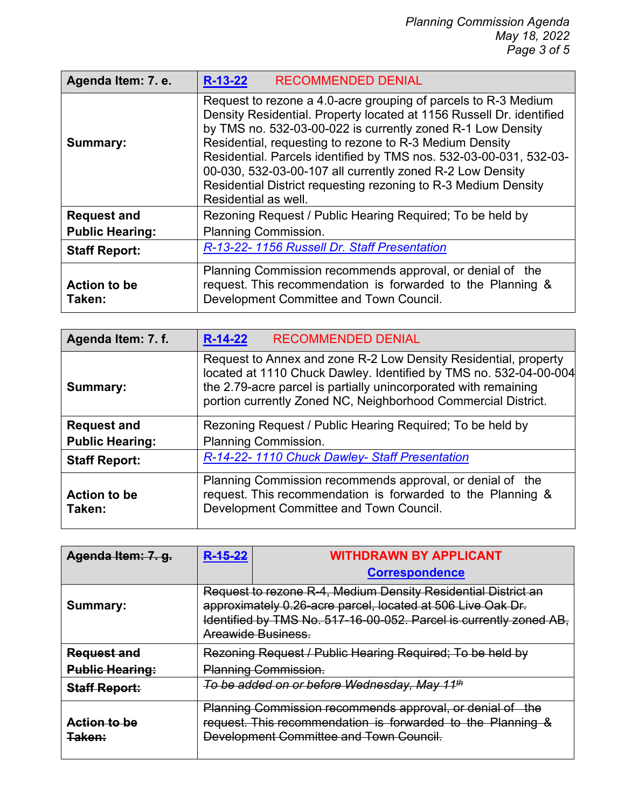| Agenda Item: 7. e.            | <b>RECOMMENDED DENIAL</b><br>$R-13-22$                                                                                                                                                                                                                                                                                                                                                                                                                                                        |
|-------------------------------|-----------------------------------------------------------------------------------------------------------------------------------------------------------------------------------------------------------------------------------------------------------------------------------------------------------------------------------------------------------------------------------------------------------------------------------------------------------------------------------------------|
| Summary:                      | Request to rezone a 4.0-acre grouping of parcels to R-3 Medium<br>Density Residential. Property located at 1156 Russell Dr. identified<br>by TMS no. 532-03-00-022 is currently zoned R-1 Low Density<br>Residential, requesting to rezone to R-3 Medium Density<br>Residential. Parcels identified by TMS nos. 532-03-00-031, 532-03-<br>00-030, 532-03-00-107 all currently zoned R-2 Low Density<br>Residential District requesting rezoning to R-3 Medium Density<br>Residential as well. |
| <b>Request and</b>            | Rezoning Request / Public Hearing Required; To be held by                                                                                                                                                                                                                                                                                                                                                                                                                                     |
| <b>Public Hearing:</b>        | <b>Planning Commission.</b>                                                                                                                                                                                                                                                                                                                                                                                                                                                                   |
| <b>Staff Report:</b>          | R-13-22-1156 Russell Dr. Staff Presentation                                                                                                                                                                                                                                                                                                                                                                                                                                                   |
| <b>Action to be</b><br>Taken: | Planning Commission recommends approval, or denial of the<br>request. This recommendation is forwarded to the Planning &<br>Development Committee and Town Council.                                                                                                                                                                                                                                                                                                                           |

| Agenda Item: 7. f.            | <b>RECOMMENDED DENIAL</b><br>$R-14-22$                                                                                                                                                                                                                                   |
|-------------------------------|--------------------------------------------------------------------------------------------------------------------------------------------------------------------------------------------------------------------------------------------------------------------------|
| Summary:                      | Request to Annex and zone R-2 Low Density Residential, property<br>located at 1110 Chuck Dawley. Identified by TMS no. 532-04-00-004<br>the 2.79-acre parcel is partially unincorporated with remaining<br>portion currently Zoned NC, Neighborhood Commercial District. |
| <b>Request and</b>            | Rezoning Request / Public Hearing Required; To be held by                                                                                                                                                                                                                |
| <b>Public Hearing:</b>        | Planning Commission.                                                                                                                                                                                                                                                     |
| <b>Staff Report:</b>          | R-14-22-1110 Chuck Dawley- Staff Presentation                                                                                                                                                                                                                            |
| <b>Action to be</b><br>Taken: | Planning Commission recommends approval, or denial of the<br>request. This recommendation is forwarded to the Planning &<br>Development Committee and Town Council.                                                                                                      |

| Agenda Item: 7. q.                | R-15-22 | <b>WITHDRAWN BY APPLICANT</b>                                                                                                                                                                                           |
|-----------------------------------|---------|-------------------------------------------------------------------------------------------------------------------------------------------------------------------------------------------------------------------------|
|                                   |         | <b>Correspondence</b>                                                                                                                                                                                                   |
| Summary:                          |         | Request to rezone R-4, Medium Density Residential District an<br>approximately 0.26-acre parcel, located at 506 Live Oak Dr.<br>Identified by TMS No. 517-16-00-052. Parcel is currently zoned AB,<br>Areawide Business |
| <b>Request and</b>                |         | Rezoning Request / Public Hearing Required; To be held by                                                                                                                                                               |
| <b>Public Hearing:</b>            |         | <b>Planning Commission.</b>                                                                                                                                                                                             |
| <b>Staff Report:</b>              |         | To be added on or before Wednesday, May 11 <sup>th</sup>                                                                                                                                                                |
| Action to be<br><del>Taken:</del> |         | Planning Commission recommends approval, or denial of the<br>request. This recommendation is forwarded to the Planning &<br>Development Committee and Town Council.                                                     |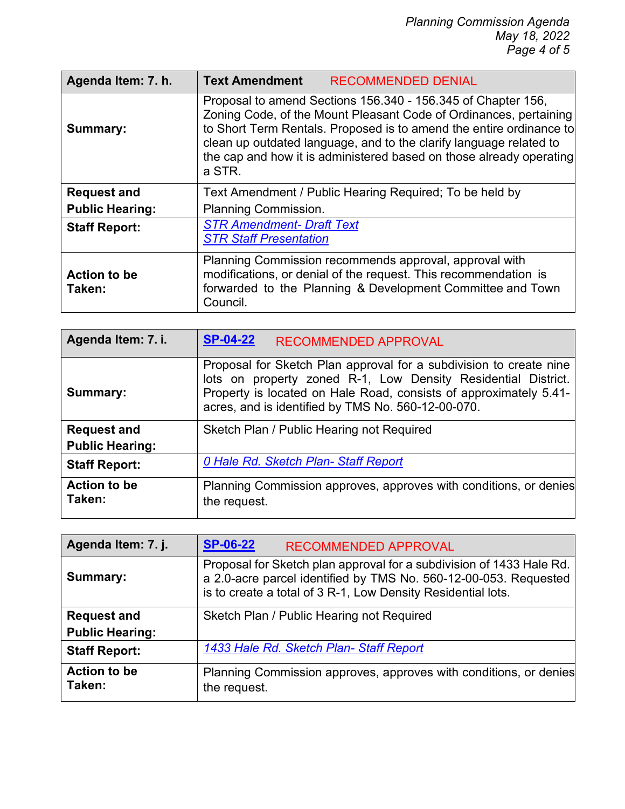| Agenda Item: 7. h.            | <b>Text Amendment</b><br><b>RECOMMENDED DENIAL</b>                                                                                                                                                                                                                                                                                                              |
|-------------------------------|-----------------------------------------------------------------------------------------------------------------------------------------------------------------------------------------------------------------------------------------------------------------------------------------------------------------------------------------------------------------|
| <b>Summary:</b>               | Proposal to amend Sections 156.340 - 156.345 of Chapter 156,<br>Zoning Code, of the Mount Pleasant Code of Ordinances, pertaining<br>to Short Term Rentals. Proposed is to amend the entire ordinance to<br>clean up outdated language, and to the clarify language related to<br>the cap and how it is administered based on those already operating<br>a STR. |
| <b>Request and</b>            | Text Amendment / Public Hearing Required; To be held by                                                                                                                                                                                                                                                                                                         |
| <b>Public Hearing:</b>        | <b>Planning Commission.</b>                                                                                                                                                                                                                                                                                                                                     |
| <b>Staff Report:</b>          | <b>STR Amendment- Draft Text</b><br><b>STR Staff Presentation</b>                                                                                                                                                                                                                                                                                               |
| <b>Action to be</b><br>Taken: | Planning Commission recommends approval, approval with<br>modifications, or denial of the request. This recommendation is<br>forwarded to the Planning & Development Committee and Town<br>Council.                                                                                                                                                             |

| Agenda Item: 7. i.            | <b>SP-04-22</b><br><b>RECOMMENDED APPROVAL</b>                                                                                                                                                                                                                 |
|-------------------------------|----------------------------------------------------------------------------------------------------------------------------------------------------------------------------------------------------------------------------------------------------------------|
| Summary:                      | Proposal for Sketch Plan approval for a subdivision to create nine<br>lots on property zoned R-1, Low Density Residential District.<br>Property is located on Hale Road, consists of approximately 5.41-<br>acres, and is identified by TMS No. 560-12-00-070. |
| <b>Request and</b>            | Sketch Plan / Public Hearing not Required                                                                                                                                                                                                                      |
| <b>Public Hearing:</b>        |                                                                                                                                                                                                                                                                |
| <b>Staff Report:</b>          | 0 Hale Rd. Sketch Plan-Staff Report                                                                                                                                                                                                                            |
| <b>Action to be</b><br>Taken: | Planning Commission approves, approves with conditions, or denies<br>the request.                                                                                                                                                                              |

| Agenda Item: 7. j.            | <b>SP-06-22</b><br><b>RECOMMENDED APPROVAL</b>                                                                                                                                                           |
|-------------------------------|----------------------------------------------------------------------------------------------------------------------------------------------------------------------------------------------------------|
| Summary:                      | Proposal for Sketch plan approval for a subdivision of 1433 Hale Rd.<br>a 2.0-acre parcel identified by TMS No. 560-12-00-053. Requested<br>is to create a total of 3 R-1, Low Density Residential lots. |
| <b>Request and</b>            | Sketch Plan / Public Hearing not Required                                                                                                                                                                |
| <b>Public Hearing:</b>        |                                                                                                                                                                                                          |
| <b>Staff Report:</b>          | 1433 Hale Rd. Sketch Plan-Staff Report                                                                                                                                                                   |
| <b>Action to be</b><br>Taken: | Planning Commission approves, approves with conditions, or denies<br>the request.                                                                                                                        |